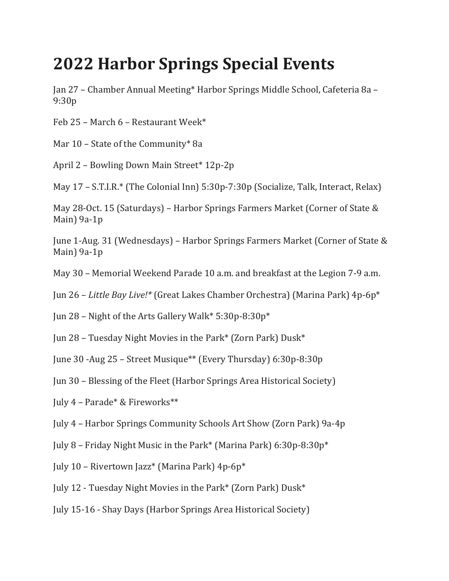## **2022 Harbor Springs Special Events**

Jan 27 – Chamber Annual Meeting\* Harbor Springs Middle School, Cafeteria 8a – 9:30p

Feb 25 - March 6 - Restaurant Week\*

Mar  $10$  – State of the Community\* 8a

April 2 - Bowling Down Main Street\* 12p-2p

May  $17 - S.T.I.R.*$  (The Colonial Inn)  $5:30p-7:30p$  (Socialize, Talk, Interact, Relax)

May 28-Oct. 15 (Saturdays) – Harbor Springs Farmers Market (Corner of State & Main $)$  9a-1p

June 1-Aug. 31 (Wednesdays) – Harbor Springs Farmers Market (Corner of State & Main $)$  9a-1p

May 30 - Memorial Weekend Parade 10 a.m. and breakfast at the Legion 7-9 a.m.

Jun 26 – *Little Bay Live!*\* (Great Lakes Chamber Orchestra) (Marina Park) 4p-6p<sup>\*</sup>

Jun 28 – Night of the Arts Gallery Walk\*  $5:30p-8:30p^*$ 

Jun 28 - Tuesday Night Movies in the Park\* (Zorn Park) Dusk\*

June 30 -Aug 25 – Street Musique\*\* (Every Thursday) 6:30p-8:30p

Jun 30 - Blessing of the Fleet (Harbor Springs Area Historical Society)

July  $4$  – Parade\* & Fireworks\*\*

July 4 - Harbor Springs Community Schools Art Show (Zorn Park) 9a-4p

July 8 – Friday Night Music in the Park\* (Marina Park)  $6:30p-8:30p*$ 

July 10 – Rivertown Jazz\* (Marina Park)  $4p-6p*$ 

July 12 - Tuesday Night Movies in the Park\* (Zorn Park) Dusk\*

July 15-16 - Shay Days (Harbor Springs Area Historical Society)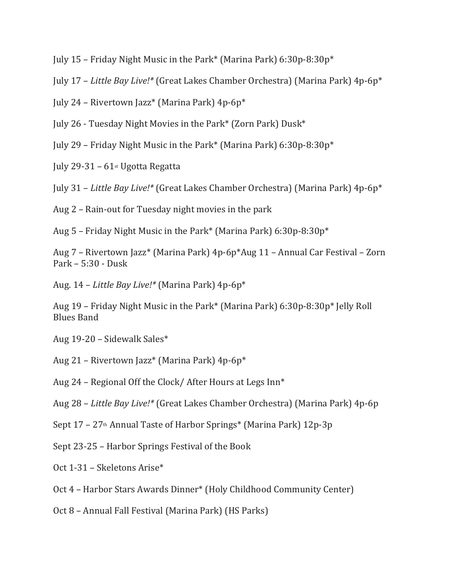- July 15 Friday Night Music in the Park\* (Marina Park)  $6:30p-8:30p*$
- July 17 – *Little Bay Live!\** (Great Lakes Chamber Orchestra) (Marina Park) 4p-6p\*
- July 24 Rivertown Jazz\* (Marina Park)  $4p-6p*$
- July 26 Tuesday Night Movies in the Park\* (Zorn Park)  $Dusk^*$
- July 29 Friday Night Music in the Park\* (Marina Park)  $6:30p-8:30p^*$
- July 29-31  $61$ <sup>st</sup> Ugotta Regatta
- July 31 *Little Bay Live!\** (Great Lakes Chamber Orchestra) (Marina Park) 4p-6p\*
- Aug  $2$  Rain-out for Tuesday night movies in the park
- Aug 5 Friday Night Music in the Park\* (Marina Park)  $6:30p-8:30p*$

Aug 7 – Rivertown Jazz\* (Marina Park) 4p-6p\*Aug 11 – Annual Car Festival – Zorn Park –  $5:30$  - Dusk

Aug. 14 - Little Bay Live!\* (Marina Park) 4p-6p\*

Aug 19 – Friday Night Music in the Park\* (Marina Park)  $6:30p-8:30p*$  Jelly Roll **Blues Band** 

- Aug  $19-20$  Sidewalk Sales\*
- Aug 21 Rivertown Jazz\* (Marina Park) 4p-6p\*
- Aug 24 Regional Off the Clock/ After Hours at Legs Inn\*
- Aug 28 *Little Bay Live!\** (Great Lakes Chamber Orchestra) (Marina Park) 4p-6p
- Sept  $17 27$ <sup>th</sup> Annual Taste of Harbor Springs\* (Marina Park)  $12p-3p$
- Sept 23-25 Harbor Springs Festival of the Book
- Oct 1-31 Skeletons Arise\*
- Oct 4 Harbor Stars Awards Dinner\* (Holy Childhood Community Center)
- Oct 8 Annual Fall Festival (Marina Park) (HS Parks)